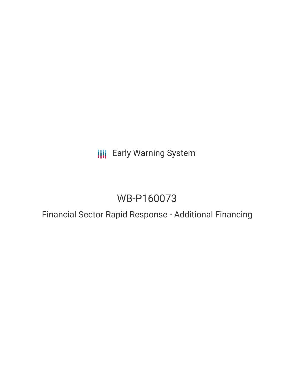**III** Early Warning System

# WB-P160073

Financial Sector Rapid Response - Additional Financing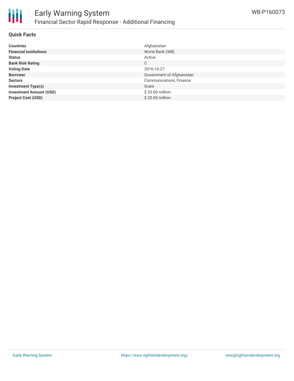

### **Quick Facts**

| <b>Countries</b>               | Afghanistan               |
|--------------------------------|---------------------------|
| <b>Financial Institutions</b>  | World Bank (WB)           |
| <b>Status</b>                  | Active                    |
| <b>Bank Risk Rating</b>        | C                         |
| <b>Voting Date</b>             | 2016-10-27                |
| <b>Borrower</b>                | Government of Afghanistan |
| <b>Sectors</b>                 | Communications, Finance   |
| <b>Investment Type(s)</b>      | Grant                     |
| <b>Investment Amount (USD)</b> | \$20.00 million           |
| <b>Project Cost (USD)</b>      | \$20.00 million           |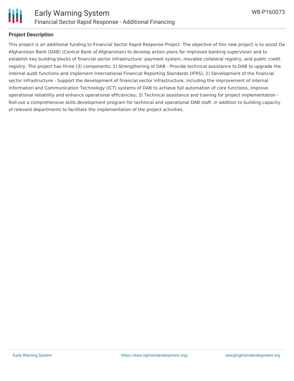

## **Project Description**

This project is an additional funding to Financial Sector Rapid Response Project. The objective of this new project is to assist Da Afghanistan Bank (DAB) (Central Bank of Afghanistan) to develop action plans for improved banking supervision and to establish key building blocks of financial sector infrastructure: payment system, movable collateral registry, and public credit registry. The project has three (3) components; 1) Strengthening of DAB - Provide technical assistance to DAB to upgrade the internal audit functions and implement International Financial Reporting Standards (IFRS); 2) Development of the financial sector infrastructure - Support the development of financial sector infrastructure, including the improvement of internal Information and Communication Technology (ICT) systems of DAB to achieve full automation of core functions, improve operational reliability and enhance operational efficiencies; 3) Technical assistance and training for project implementation - Roll-out a comprehensive skills development program for technical and operational DAB staff, in addition to building capacity of relevant departments to facilitate the implementation of the project activities.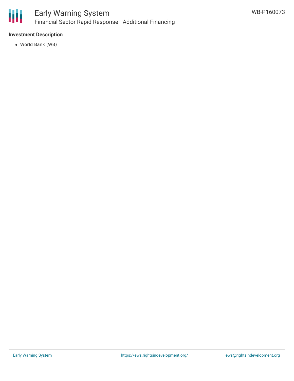

## **Investment Description**

World Bank (WB)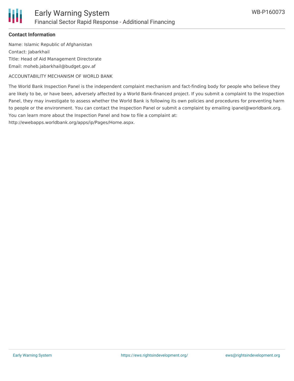

## **Contact Information**

Name: Islamic Republic of Afghanistan Contact: Jabarkhail Title: Head of Aid Management Directorate Email: moheb.jabarkhail@budget.gov.af

ACCOUNTABILITY MECHANISM OF WORLD BANK

The World Bank Inspection Panel is the independent complaint mechanism and fact-finding body for people who believe they are likely to be, or have been, adversely affected by a World Bank-financed project. If you submit a complaint to the Inspection Panel, they may investigate to assess whether the World Bank is following its own policies and procedures for preventing harm to people or the environment. You can contact the Inspection Panel or submit a complaint by emailing ipanel@worldbank.org. You can learn more about the Inspection Panel and how to file a complaint at:

http://ewebapps.worldbank.org/apps/ip/Pages/Home.aspx.